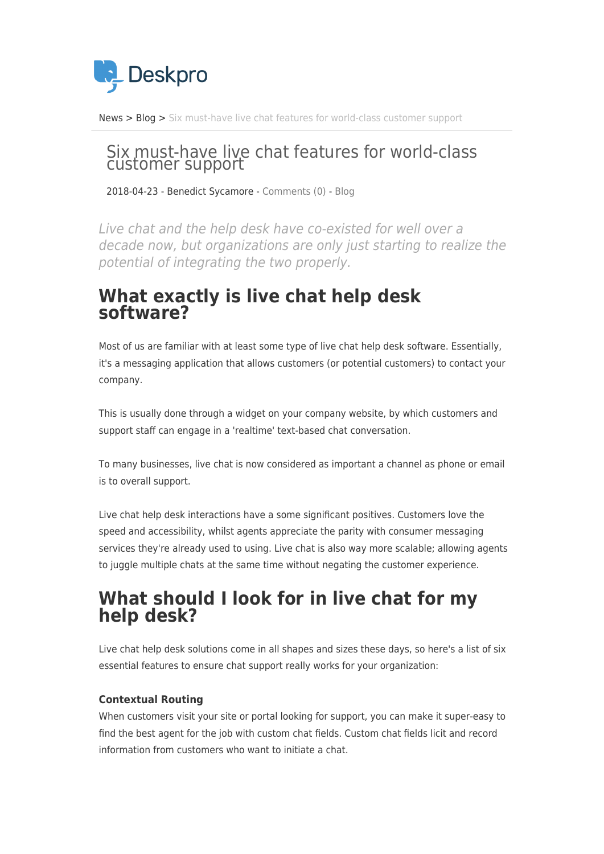

[News](https://support.deskpro.com/sv/news) > [Blog](https://support.deskpro.com/sv/news/blog) > [Six must-have live chat features for world-class customer support](https://support.deskpro.com/sv/news/posts/six-must-have-live-chat-features-for-world-class-customer-support)

# Six must-have live chat features for world-class customer support

2018-04-23 - Benedict Sycamore - [Comments \(0\)](#page--1-0) - [Blog](https://support.deskpro.com/sv/news/blog)

Live chat and the help desk have co-existed for well over a decade now, but organizations are only just starting to realize the potential of integrating the two properly.

### **What exactly is live chat help desk software?**

Most of us are familiar with at least some type of live chat help desk software. Essentially, it's a messaging application that allows customers (or potential customers) to contact your company.

This is usually done through a widget on your company website, by which customers and support staff can engage in a 'realtime' text-based chat conversation.

To many businesses, live chat is now considered as important a channel as phone or email is to overall support.

Live chat help desk interactions have a some significant positives. Customers love the speed and accessibility, whilst agents appreciate the parity with consumer messaging services they're already used to using. Live chat is also way more scalable; allowing agents to juggle multiple chats at the same time without negating the customer experience.

## **What should I look for in live chat for my help desk?**

Live chat help desk solutions come in all shapes and sizes these days, so here's a list of six essential features to ensure chat support really works for your organization:

#### **Contextual Routing**

When customers visit your site or portal looking for support, you can make it super-easy to find the best agent for the job with custom chat fields. Custom chat fields licit and record information from customers who want to initiate a chat.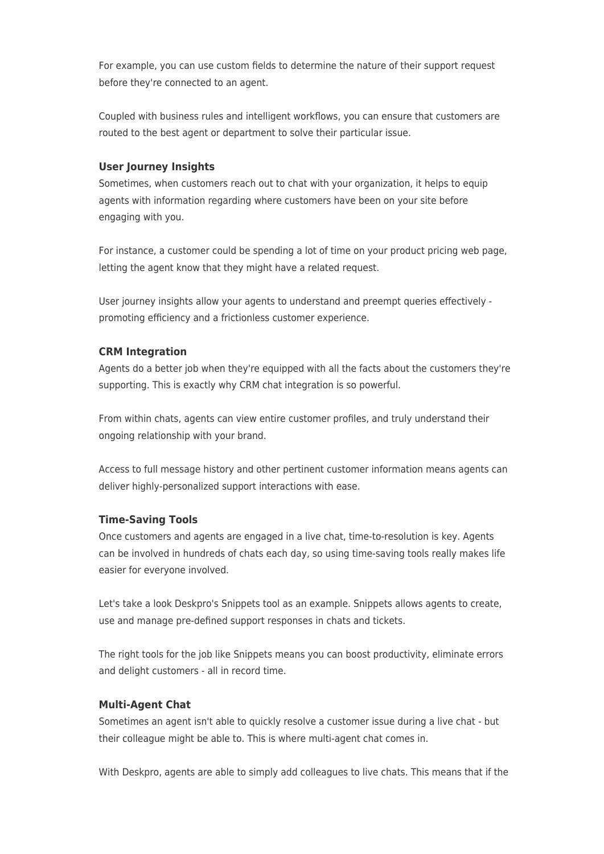For example, you can use custom fields to determine the nature of their support request before they're connected to an agent.

Coupled with business rules and intelligent workflows, you can ensure that customers are routed to the best agent or department to solve their particular issue.

#### **User Journey Insights**

Sometimes, when customers reach out to chat with your organization, it helps to equip agents with information regarding where customers have been on your site before engaging with you.

For instance, a customer could be spending a lot of time on your product pricing web page, letting the agent know that they might have a related request.

User journey insights allow your agents to understand and preempt queries effectively promoting efficiency and a frictionless customer experience.

#### **CRM Integration**

Agents do a better job when they're equipped with all the facts about the customers they're supporting. This is exactly why CRM chat integration is so powerful.

From within chats, agents can view entire customer profiles, and truly understand their ongoing relationship with your brand.

Access to full message history and other pertinent customer information means agents can deliver highly-personalized support interactions with ease.

#### **Time-Saving Tools**

Once customers and agents are engaged in a live chat, time-to-resolution is key. Agents can be involved in hundreds of chats each day, so using time-saving tools really makes life easier for everyone involved.

Let's take a look Deskpro's Snippets tool as an example. Snippets allows agents to create, use and manage pre-defined support responses in chats and tickets.

The right tools for the job like Snippets means you can boost productivity, eliminate errors and delight customers - all in record time.

#### **Multi-Agent Chat**

Sometimes an agent isn't able to quickly resolve a customer issue during a live chat - but their colleague might be able to. This is where multi-agent chat comes in.

With Deskpro, agents are able to simply add colleagues to live chats. This means that if the